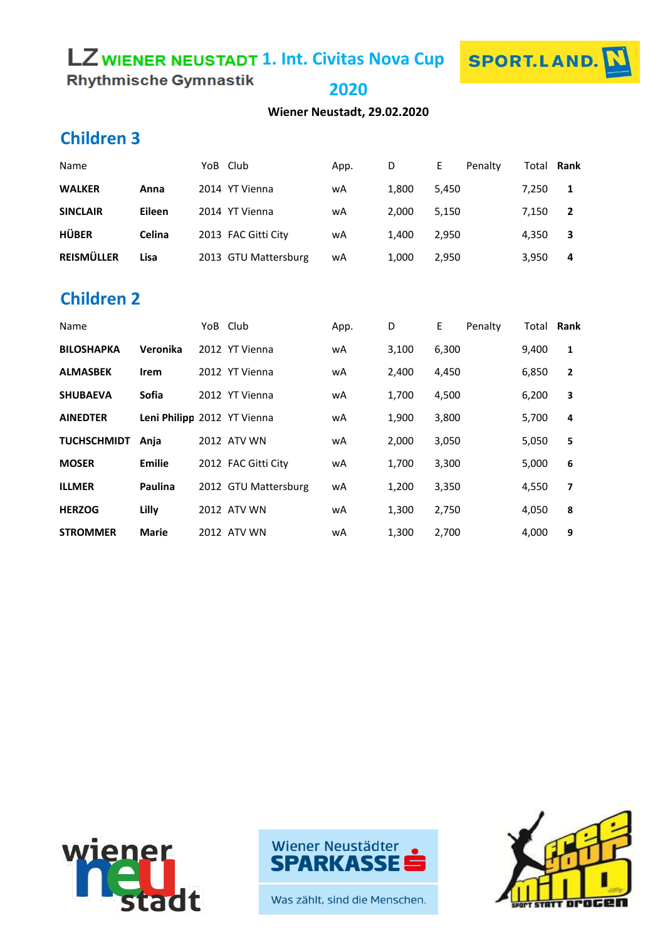# **LZ WIENER NEUSTADT 1. Int. Civitas Nova Cup**



**Rhythmische Gymnastik** 

**2020**

**Wiener Neustadt, 29.02.2020**

# **Children 3**

| Name              |        | YoB Club             | App. | D     | Penalty<br>Е | Total <b>Rank</b> |                |
|-------------------|--------|----------------------|------|-------|--------------|-------------------|----------------|
| <b>WALKER</b>     | Anna   | 2014 YT Vienna       | wA   | 1.800 | 5.450        | 7.250             | -1             |
| <b>SINCLAIR</b>   | Eileen | 2014 YT Vienna       | wA   | 2.000 | 5.150        | 7,150             | $\overline{2}$ |
| <b>HÜBER</b>      | Celina | 2013 FAC Gitti City  | wA   | 1.400 | 2.950        | 4,350             | 3              |
| <b>REISMÜLLER</b> | Lisa   | 2013 GTU Mattersburg | wA   | 1,000 | 2,950        | 3,950             | 4              |

#### **Children 2**

| Name               |                             | YoB Club |                      | App. | D     | E     | Penalty | Total Rank |                         |
|--------------------|-----------------------------|----------|----------------------|------|-------|-------|---------|------------|-------------------------|
| <b>BILOSHAPKA</b>  | Veronika                    |          | 2012 YT Vienna       | wA   | 3,100 | 6,300 |         | 9,400      | 1                       |
| <b>ALMASBEK</b>    | <b>Irem</b>                 |          | 2012 YT Vienna       | wA   | 2,400 | 4,450 |         | 6,850      | $\overline{2}$          |
| <b>SHUBAEVA</b>    | <b>Sofia</b>                |          | 2012 YT Vienna       | wA   | 1,700 | 4,500 |         | 6,200      | 3                       |
| <b>AINEDTER</b>    | Leni Philipp 2012 YT Vienna |          |                      | wA   | 1,900 | 3,800 |         | 5,700      | 4                       |
| <b>TUCHSCHMIDT</b> | Anja                        |          | 2012 ATV WN          | wA   | 2,000 | 3,050 |         | 5,050      | 5                       |
| <b>MOSER</b>       | Emilie                      |          | 2012 FAC Gitti City  | wA   | 1,700 | 3,300 |         | 5,000      | 6                       |
| <b>ILLMER</b>      | <b>Paulina</b>              |          | 2012 GTU Mattersburg | wA   | 1,200 | 3,350 |         | 4,550      | $\overline{\mathbf{z}}$ |
| <b>HERZOG</b>      | Lilly                       |          | 2012 ATV WN          | wA   | 1,300 | 2,750 |         | 4,050      | 8                       |
| <b>STROMMER</b>    | <b>Marie</b>                |          | 2012 ATV WN          | wA   | 1,300 | 2,700 |         | 4,000      | 9                       |





Was zählt, sind die Menschen.

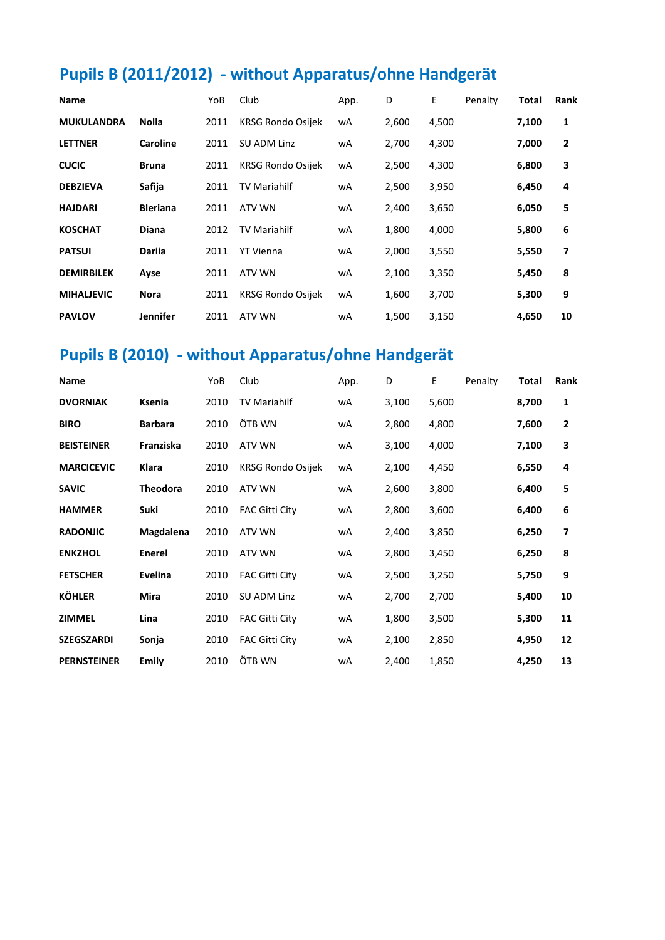# **Pupils B (2011/2012) - without Apparatus/ohne Handgerät**

| Name              |                 | YoB  | Club                     | App. | D     | E     | Penalty | <b>Total</b> | <b>Rank</b>    |
|-------------------|-----------------|------|--------------------------|------|-------|-------|---------|--------------|----------------|
| <b>MUKULANDRA</b> | <b>Nolla</b>    | 2011 | <b>KRSG Rondo Osijek</b> | wA   | 2,600 | 4,500 |         | 7,100        | 1              |
| <b>LETTNER</b>    | <b>Caroline</b> | 2011 | <b>SU ADM Linz</b>       | wA   | 2,700 | 4,300 |         | 7,000        | $\overline{2}$ |
| <b>CUCIC</b>      | <b>Bruna</b>    | 2011 | <b>KRSG Rondo Osijek</b> | wA   | 2,500 | 4,300 |         | 6,800        | 3              |
| <b>DEBZIEVA</b>   | Safija          | 2011 | <b>TV Mariahilf</b>      | wA   | 2,500 | 3,950 |         | 6,450        | 4              |
| <b>HAJDARI</b>    | <b>Bleriana</b> | 2011 | ATV WN                   | wA   | 2,400 | 3,650 |         | 6,050        | 5              |
| <b>KOSCHAT</b>    | <b>Diana</b>    | 2012 | <b>TV Mariahilf</b>      | wA   | 1,800 | 4,000 |         | 5,800        | 6              |
| <b>PATSUI</b>     | <b>Darija</b>   | 2011 | <b>YT Vienna</b>         | wA   | 2,000 | 3,550 |         | 5,550        | 7              |
| <b>DEMIRBILEK</b> | Ayse            | 2011 | ATV WN                   | wA   | 2,100 | 3,350 |         | 5,450        | 8              |
| <b>MIHALIEVIC</b> | <b>Nora</b>     | 2011 | <b>KRSG Rondo Osijek</b> | wA   | 1,600 | 3,700 |         | 5,300        | 9              |
| <b>PAVLOV</b>     | <b>Jennifer</b> | 2011 | ATV WN                   | wA   | 1,500 | 3,150 |         | 4,650        | 10             |

### **Pupils B (2010) - without Apparatus/ohne Handgerät**

| Name               |                 | YoB  | Club                     | App. | D     | Е     | Penalty | <b>Total</b> | Rank           |
|--------------------|-----------------|------|--------------------------|------|-------|-------|---------|--------------|----------------|
| <b>DVORNIAK</b>    | Ksenia          | 2010 | <b>TV Mariahilf</b>      | wA   | 3,100 | 5,600 |         | 8,700        | $\mathbf{1}$   |
| <b>BIRO</b>        | <b>Barbara</b>  | 2010 | ÖTB WN                   | wA   | 2,800 | 4,800 |         | 7,600        | $\overline{2}$ |
| <b>BEISTEINER</b>  | Franziska       | 2010 | <b>ATV WN</b>            | wA   | 3,100 | 4,000 |         | 7,100        | 3              |
| <b>MARCICEVIC</b>  | <b>Klara</b>    | 2010 | <b>KRSG Rondo Osijek</b> | wA   | 2,100 | 4,450 |         | 6,550        | 4              |
| <b>SAVIC</b>       | <b>Theodora</b> | 2010 | ATV WN                   | wA   | 2,600 | 3,800 |         | 6,400        | 5              |
| <b>HAMMER</b>      | Suki            | 2010 | <b>FAC Gitti City</b>    | wA   | 2,800 | 3,600 |         | 6,400        | 6              |
| <b>RADONJIC</b>    | Magdalena       | 2010 | ATV WN                   | wA   | 2,400 | 3,850 |         | 6,250        | 7              |
| <b>ENKZHOL</b>     | Enerel          | 2010 | ATV WN                   | wA   | 2,800 | 3,450 |         | 6,250        | 8              |
| <b>FETSCHER</b>    | Evelina         | 2010 | <b>FAC Gitti City</b>    | wA   | 2,500 | 3,250 |         | 5,750        | 9              |
| <b>KÖHLER</b>      | <b>Mira</b>     | 2010 | SU ADM Linz              | wA   | 2,700 | 2,700 |         | 5,400        | 10             |
| <b>ZIMMEL</b>      | Lina            | 2010 | <b>FAC Gitti City</b>    | wA   | 1,800 | 3,500 |         | 5,300        | 11             |
| <b>SZEGSZARDI</b>  | Sonja           | 2010 | <b>FAC Gitti City</b>    | wA   | 2,100 | 2,850 |         | 4,950        | 12             |
| <b>PERNSTEINER</b> | <b>Emily</b>    | 2010 | ÖTB WN                   | wA   | 2,400 | 1,850 |         | 4,250        | 13             |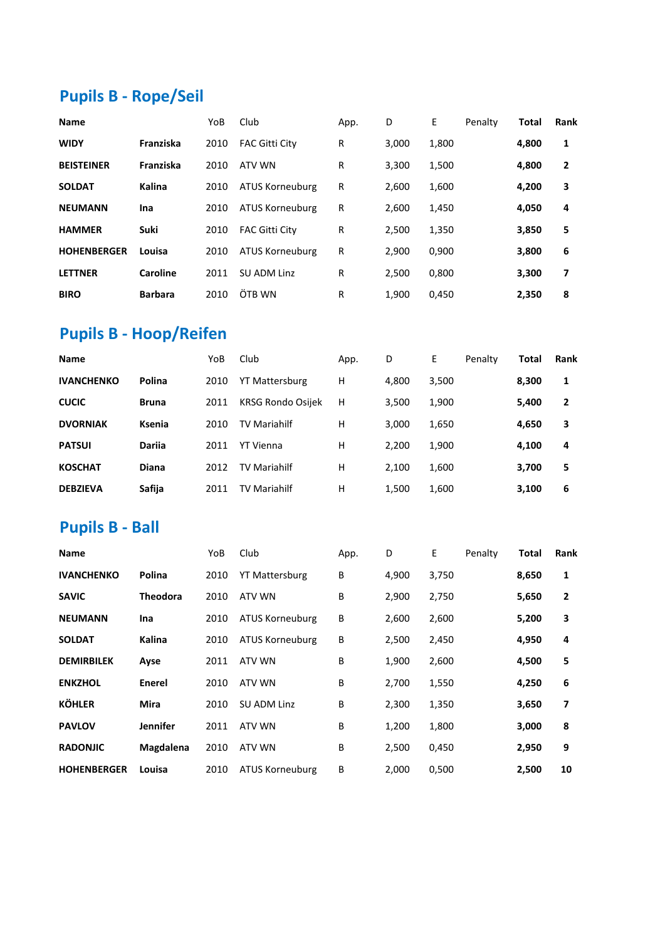# **Pupils B - Rope/Seil**

| <b>Name</b>        |                | YoB  | Club                   | App. | D     | E     | Penalty | <b>Total</b> | Rank           |
|--------------------|----------------|------|------------------------|------|-------|-------|---------|--------------|----------------|
| <b>WIDY</b>        | Franziska      | 2010 | <b>FAC Gitti City</b>  | R    | 3,000 | 1,800 |         | 4,800        | 1              |
| <b>BEISTEINER</b>  | Franziska      | 2010 | ATV WN                 | R    | 3,300 | 1,500 |         | 4,800        | $\overline{2}$ |
| <b>SOLDAT</b>      | Kalina         | 2010 | <b>ATUS Korneuburg</b> | R    | 2.600 | 1,600 |         | 4,200        | 3              |
| <b>NEUMANN</b>     | Ina            | 2010 | <b>ATUS Korneuburg</b> | R    | 2,600 | 1,450 |         | 4,050        | 4              |
| <b>HAMMER</b>      | <b>Suki</b>    | 2010 | <b>FAC Gitti City</b>  | R    | 2,500 | 1,350 |         | 3,850        | 5              |
| <b>HOHENBERGER</b> | Louisa         | 2010 | <b>ATUS Korneuburg</b> | R    | 2,900 | 0,900 |         | 3,800        | 6              |
| <b>LETTNER</b>     | Caroline       | 2011 | SU ADM Linz            | R    | 2,500 | 0,800 |         | 3,300        | 7              |
| <b>BIRO</b>        | <b>Barbara</b> | 2010 | ÖTB WN                 | R    | 1.900 | 0.450 |         | 2,350        | 8              |

### **Pupils B - Hoop/Reifen**

| <b>Name</b>       |               | YoB  | Club                     | App. | D     | E     | Penalty | Total | <b>Rank</b>    |
|-------------------|---------------|------|--------------------------|------|-------|-------|---------|-------|----------------|
| <b>IVANCHENKO</b> | Polina        | 2010 | <b>YT Mattersburg</b>    | н    | 4,800 | 3,500 |         | 8,300 | 1              |
| <b>CUCIC</b>      | <b>Bruna</b>  | 2011 | <b>KRSG Rondo Osijek</b> | н    | 3,500 | 1,900 |         | 5,400 | $\overline{2}$ |
| <b>DVORNIAK</b>   | Ksenia        | 2010 | <b>TV Mariahilf</b>      | Н    | 3,000 | 1,650 |         | 4,650 | 3              |
| <b>PATSUI</b>     | <b>Darija</b> | 2011 | <b>YT Vienna</b>         | Н    | 2.200 | 1,900 |         | 4,100 | 4              |
| <b>KOSCHAT</b>    | Diana         | 2012 | <b>TV Mariahilf</b>      | Н    | 2,100 | 1,600 |         | 3,700 | 5              |
| <b>DEBZIEVA</b>   | Safija        | 2011 | <b>TV Mariahilf</b>      | н    | 1,500 | 1,600 |         | 3,100 | 6              |

### **Pupils B - Ball**

| <b>Name</b>        |                 | YoB  | Club                   | App. | D     | E     | Penalty | <b>Total</b> | <b>Rank</b>    |
|--------------------|-----------------|------|------------------------|------|-------|-------|---------|--------------|----------------|
| <b>IVANCHENKO</b>  | Polina          | 2010 | <b>YT Mattersburg</b>  | В    | 4,900 | 3,750 |         | 8,650        | 1              |
| <b>SAVIC</b>       | Theodora        | 2010 | ATV WN                 | В    | 2,900 | 2,750 |         | 5,650        | $\overline{2}$ |
| <b>NEUMANN</b>     | Ina             | 2010 | <b>ATUS Korneuburg</b> | B    | 2,600 | 2,600 |         | 5,200        | 3              |
| <b>SOLDAT</b>      | Kalina          | 2010 | ATUS Korneuburg        | B    | 2,500 | 2,450 |         | 4,950        | 4              |
| <b>DEMIRBILEK</b>  | Ayse            | 2011 | ATV WN                 | В    | 1,900 | 2,600 |         | 4,500        | 5              |
| <b>ENKZHOL</b>     | <b>Enerel</b>   | 2010 | ATV WN                 | B    | 2,700 | 1,550 |         | 4,250        | 6              |
| <b>KÖHLER</b>      | <b>Mira</b>     | 2010 | SU ADM Linz            | В    | 2,300 | 1,350 |         | 3,650        | 7              |
| <b>PAVLOV</b>      | <b>Jennifer</b> | 2011 | ATV WN                 | B    | 1,200 | 1,800 |         | 3,000        | 8              |
| <b>RADONJIC</b>    | Magdalena       | 2010 | ATV WN                 | B    | 2,500 | 0,450 |         | 2,950        | 9              |
| <b>HOHENBERGER</b> | Louisa          | 2010 | <b>ATUS Korneuburg</b> | B    | 2,000 | 0,500 |         | 2,500        | 10             |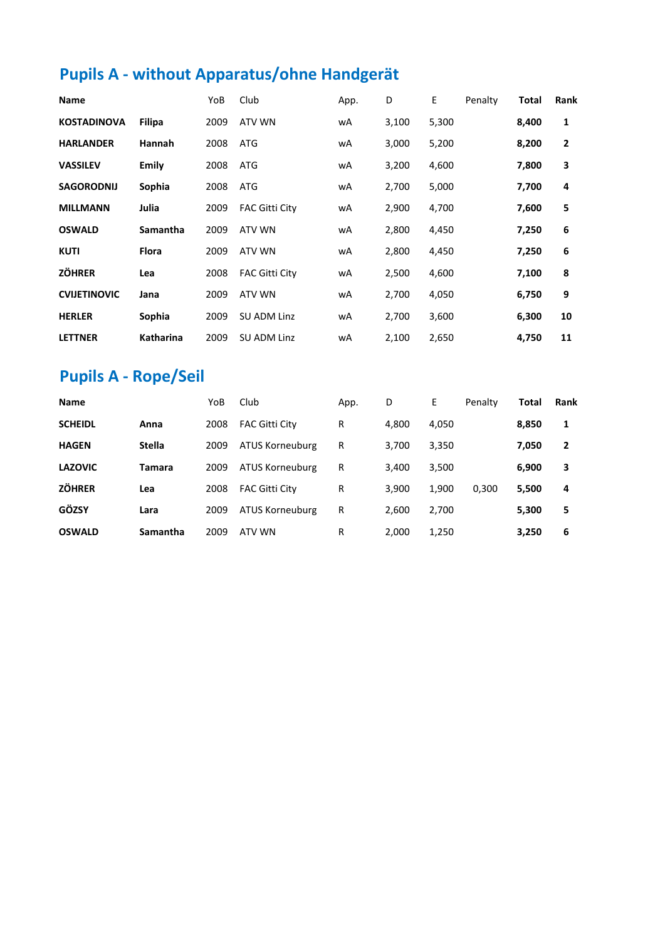# **Pupils A - without Apparatus/ohne Handgerät**

| Name                |               | YoB  | Club                  | App. | D     | E     | Penalty | <b>Total</b> | <b>Rank</b>    |
|---------------------|---------------|------|-----------------------|------|-------|-------|---------|--------------|----------------|
| <b>KOSTADINOVA</b>  | <b>Filipa</b> | 2009 | ATV WN                | wA   | 3,100 | 5,300 |         | 8,400        | 1              |
| <b>HARLANDER</b>    | Hannah        | 2008 | ATG                   | wA   | 3,000 | 5,200 |         | 8,200        | $\overline{2}$ |
| <b>VASSILEV</b>     | Emily         | 2008 | ATG                   | wA   | 3,200 | 4,600 |         | 7,800        | 3              |
| <b>SAGORODNIJ</b>   | Sophia        | 2008 | ATG                   | wA   | 2,700 | 5,000 |         | 7,700        | 4              |
| <b>MILLMANN</b>     | Julia         | 2009 | <b>FAC Gitti City</b> | wA   | 2,900 | 4,700 |         | 7,600        | 5              |
| <b>OSWALD</b>       | Samantha      | 2009 | ATV WN                | wA   | 2,800 | 4,450 |         | 7,250        | 6              |
| <b>KUTI</b>         | <b>Flora</b>  | 2009 | ATV WN                | wA   | 2,800 | 4,450 |         | 7,250        | 6              |
| <b>ZÖHRER</b>       | Lea           | 2008 | <b>FAC Gitti City</b> | wA   | 2,500 | 4,600 |         | 7,100        | 8              |
| <b>CVIJETINOVIC</b> | Jana          | 2009 | ATV WN                | wA   | 2,700 | 4,050 |         | 6,750        | 9              |
| <b>HERLER</b>       | Sophia        | 2009 | SU ADM Linz           | wA   | 2,700 | 3,600 |         | 6,300        | 10             |
| <b>LETTNER</b>      | Katharina     | 2009 | SU ADM Linz           | wA   | 2,100 | 2,650 |         | 4,750        | 11             |

# **Pupils A - Rope/Seil**

| <b>Name</b>    |               | YoB  | Club                  | App. | D     | E     | Penalty | Total | Rank           |
|----------------|---------------|------|-----------------------|------|-------|-------|---------|-------|----------------|
| <b>SCHEIDL</b> | Anna          | 2008 | <b>FAC Gitti City</b> | R    | 4,800 | 4,050 |         | 8,850 | 1              |
| <b>HAGEN</b>   | <b>Stella</b> | 2009 | ATUS Korneuburg       | R    | 3,700 | 3,350 |         | 7,050 | $\overline{2}$ |
| <b>LAZOVIC</b> | Tamara        | 2009 | ATUS Korneuburg       | R    | 3,400 | 3,500 |         | 6,900 | 3              |
| <b>ZÖHRER</b>  | Lea           | 2008 | <b>FAC Gitti City</b> | R    | 3.900 | 1,900 | 0.300   | 5,500 | 4              |
| GÖZSY          | Lara          | 2009 | ATUS Korneuburg       | R    | 2,600 | 2,700 |         | 5,300 | 5              |
| <b>OSWALD</b>  | Samantha      | 2009 | ATV WN                | R    | 2.000 | 1,250 |         | 3,250 | 6              |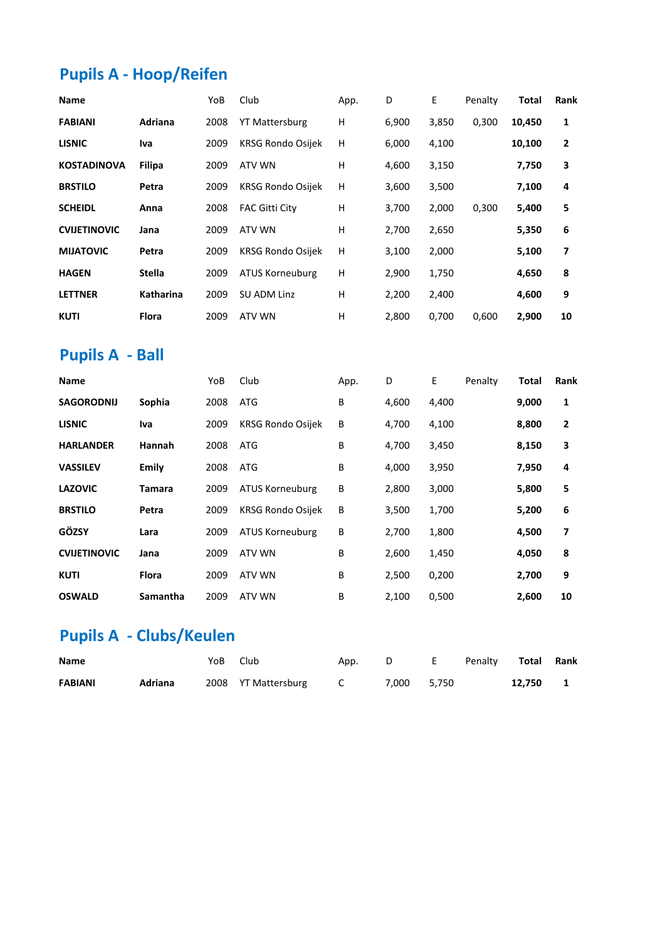# **Pupils A - Hoop/Reifen**

| Name                |                  | YoB  | Club                     | App. | D     | E     | Penalty | Total  | Rank           |
|---------------------|------------------|------|--------------------------|------|-------|-------|---------|--------|----------------|
| <b>FABIANI</b>      | Adriana          | 2008 | <b>YT Mattersburg</b>    | н    | 6,900 | 3,850 | 0,300   | 10,450 | 1              |
| <b>LISNIC</b>       | Iva              | 2009 | <b>KRSG Rondo Osijek</b> | H    | 6,000 | 4,100 |         | 10,100 | $\overline{2}$ |
| <b>KOSTADINOVA</b>  | <b>Filipa</b>    | 2009 | ATV WN                   | н    | 4,600 | 3,150 |         | 7,750  | 3              |
| <b>BRSTILO</b>      | Petra            | 2009 | <b>KRSG Rondo Osijek</b> | H    | 3,600 | 3,500 |         | 7,100  | 4              |
| <b>SCHEIDL</b>      | Anna             | 2008 | <b>FAC Gitti City</b>    | н    | 3,700 | 2,000 | 0,300   | 5,400  | 5              |
| <b>CVIJETINOVIC</b> | Jana             | 2009 | ATV WN                   | Н    | 2,700 | 2,650 |         | 5,350  | 6              |
| <b>MIJATOVIC</b>    | Petra            | 2009 | <b>KRSG Rondo Osijek</b> | Н    | 3,100 | 2,000 |         | 5,100  | 7              |
| <b>HAGEN</b>        | <b>Stella</b>    | 2009 | <b>ATUS Korneuburg</b>   | н    | 2,900 | 1,750 |         | 4,650  | 8              |
| <b>LETTNER</b>      | <b>Katharina</b> | 2009 | SU ADM Linz              | н    | 2,200 | 2,400 |         | 4,600  | 9              |
| <b>KUTI</b>         | <b>Flora</b>     | 2009 | ATV WN                   | Н    | 2,800 | 0,700 | 0,600   | 2,900  | 10             |

### **Pupils A - Ball**

| Name                |              | YoB  | Club                     | App. | D     | E     | Penalty | Total | Rank           |
|---------------------|--------------|------|--------------------------|------|-------|-------|---------|-------|----------------|
| <b>SAGORODNIJ</b>   | Sophia       | 2008 | ATG                      | В    | 4,600 | 4,400 |         | 9,000 | $\mathbf{1}$   |
| <b>LISNIC</b>       | Iva          | 2009 | <b>KRSG Rondo Osijek</b> | В    | 4,700 | 4,100 |         | 8,800 | $\overline{2}$ |
| <b>HARLANDER</b>    | Hannah       | 2008 | ATG                      | В    | 4,700 | 3,450 |         | 8,150 | 3              |
| <b>VASSILEV</b>     | Emily        | 2008 | ATG                      | B    | 4,000 | 3,950 |         | 7,950 | 4              |
| <b>LAZOVIC</b>      | Tamara       | 2009 | ATUS Korneuburg          | В    | 2,800 | 3,000 |         | 5,800 | 5              |
| <b>BRSTILO</b>      | Petra        | 2009 | <b>KRSG Rondo Osijek</b> | В    | 3,500 | 1,700 |         | 5,200 | 6              |
| GÖZSY               | Lara         | 2009 | ATUS Korneuburg          | В    | 2,700 | 1,800 |         | 4,500 | 7              |
| <b>CVIJETINOVIC</b> | Jana         | 2009 | ATV WN                   | В    | 2,600 | 1,450 |         | 4,050 | 8              |
| <b>KUTI</b>         | <b>Flora</b> | 2009 | ATV WN                   | В    | 2,500 | 0,200 |         | 2,700 | 9              |
| <b>OSWALD</b>       | Samantha     | 2009 | ATV WN                   | B    | 2,100 | 0,500 |         | 2,600 | 10             |

# **Pupils A - Clubs/Keulen**

| Name           |         | YoB Club |                       | App. D |             | E Penalty <b>Total Rank</b> |          |  |
|----------------|---------|----------|-----------------------|--------|-------------|-----------------------------|----------|--|
| <b>FABIANI</b> | Adriana |          | 2008 YT Mattersburg C |        | 7.000 5.750 |                             | 12.750 1 |  |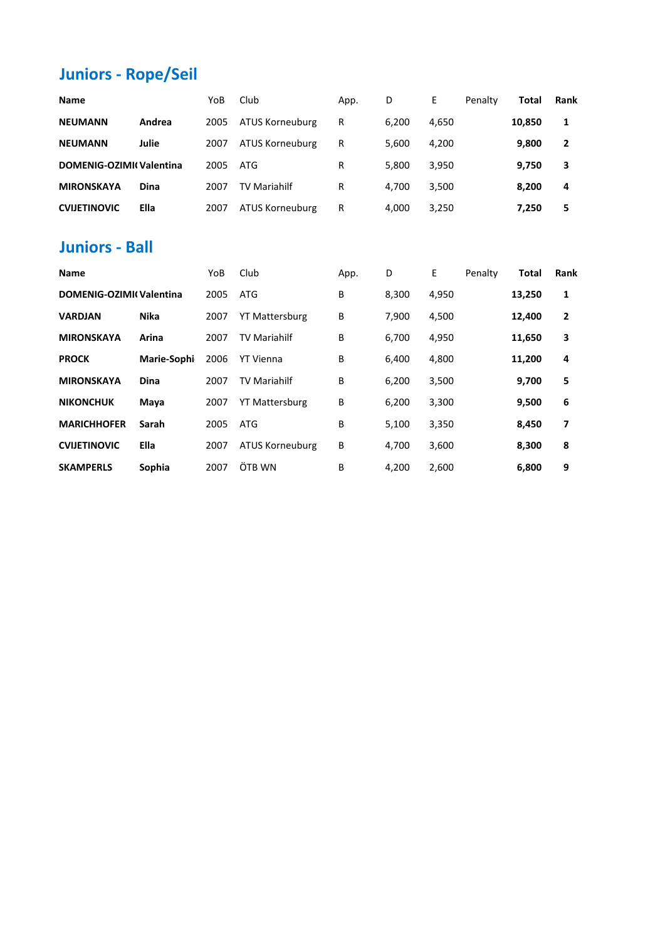# **Juniors - Rope/Seil**

| <b>Name</b>                    |        | YoB  | Club                | App. | D     | E.    | Penalty | Total  | <b>Rank</b>  |
|--------------------------------|--------|------|---------------------|------|-------|-------|---------|--------|--------------|
| <b>NEUMANN</b>                 | Andrea | 2005 | ATUS Korneuburg     | R    | 6.200 | 4,650 |         | 10.850 | 1            |
| <b>NEUMANN</b>                 | Julie  | 2007 | ATUS Korneuburg     | R    | 5.600 | 4,200 |         | 9,800  | $\mathbf{2}$ |
| <b>DOMENIG-OZIMI(Valentina</b> |        | 2005 | ATG                 | R    | 5.800 | 3,950 |         | 9,750  | 3            |
| <b>MIRONSKAYA</b>              | Dina   | 2007 | <b>TV Mariahilf</b> | R    | 4.700 | 3,500 |         | 8,200  | 4            |
| <b>CVIJETINOVIC</b>            | Ella   | 2007 | ATUS Korneuburg     | R    | 4.000 | 3,250 |         | 7,250  | 5            |

#### **Juniors - Ball**

| <b>Name</b>                    |             | YoB  | Club                   | App. | D     | E     | Penalty | Total  | <b>Rank</b>    |
|--------------------------------|-------------|------|------------------------|------|-------|-------|---------|--------|----------------|
| <b>DOMENIG-OZIMI(Valentina</b> |             | 2005 | <b>ATG</b>             | B    | 8,300 | 4,950 |         | 13,250 | 1              |
| <b>VARDJAN</b>                 | <b>Nika</b> | 2007 | <b>YT Mattersburg</b>  | В    | 7,900 | 4,500 |         | 12,400 | $\overline{2}$ |
| <b>MIRONSKAYA</b>              | Arina       | 2007 | <b>TV Mariahilf</b>    | В    | 6,700 | 4,950 |         | 11,650 | 3              |
| <b>PROCK</b>                   | Marie-Sophi | 2006 | YT Vienna              | В    | 6.400 | 4,800 |         | 11,200 | 4              |
| <b>MIRONSKAYA</b>              | <b>Dina</b> | 2007 | <b>TV Mariahilf</b>    | В    | 6,200 | 3,500 |         | 9,700  | 5              |
| <b>NIKONCHUK</b>               | Maya        | 2007 | <b>YT Mattersburg</b>  | В    | 6,200 | 3,300 |         | 9,500  | 6              |
| <b>MARICHHOFER</b>             | Sarah       | 2005 | <b>ATG</b>             | В    | 5,100 | 3,350 |         | 8,450  | 7              |
| <b>CVIJETINOVIC</b>            | <b>Ella</b> | 2007 | <b>ATUS Korneuburg</b> | В    | 4,700 | 3,600 |         | 8,300  | 8              |
| <b>SKAMPERLS</b>               | Sophia      | 2007 | ÖTB WN                 | B    | 4.200 | 2,600 |         | 6,800  | 9              |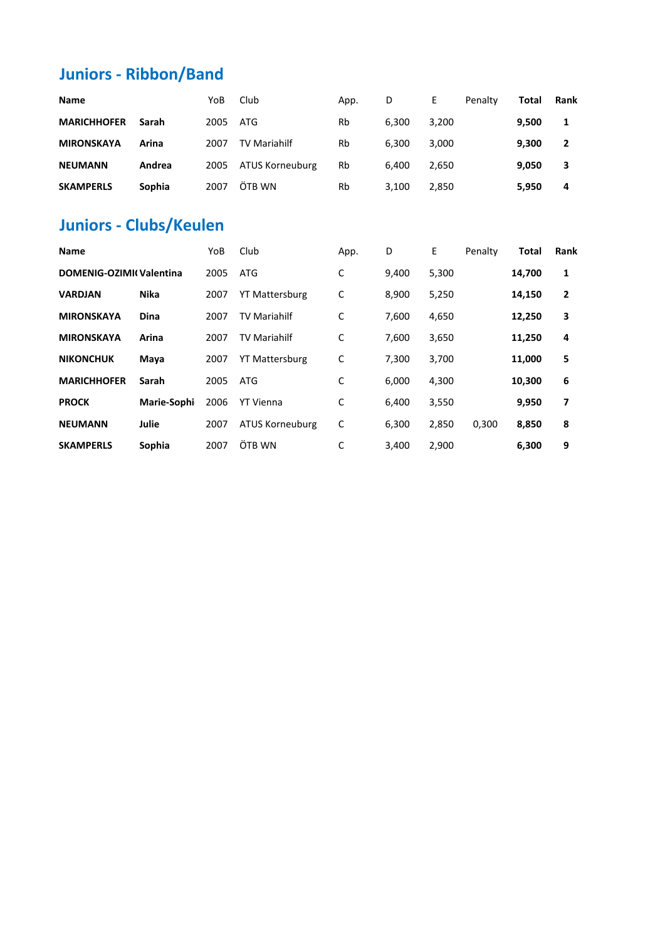### **Juniors - Ribbon/Band**

| <b>Name</b>        |        | YoB  | Club                   | App. | D     | E.    | Penalty | Total | <b>Rank</b>    |
|--------------------|--------|------|------------------------|------|-------|-------|---------|-------|----------------|
| <b>MARICHHOFER</b> | Sarah  | 2005 | ATG                    | Rb   | 6.300 | 3.200 |         | 9,500 |                |
| <b>MIRONSKAYA</b>  | Arina  | 2007 | <b>TV Mariahilf</b>    | Rb   | 6.300 | 3.000 |         | 9.300 | $\overline{2}$ |
| <b>NEUMANN</b>     | Andrea | 2005 | <b>ATUS Korneuburg</b> | Rb   | 6.400 | 2.650 |         | 9,050 | 3              |
| <b>SKAMPERLS</b>   | Sophia | 2007 | ÖTB WN                 | Rb   | 3,100 | 2,850 |         | 5,950 | 4              |

### **Juniors - Clubs/Keulen**

| <b>Name</b>             |             | YoB  | Club                   | App. | D     | E     | Penalty | <b>Total</b> | <b>Rank</b>    |
|-------------------------|-------------|------|------------------------|------|-------|-------|---------|--------------|----------------|
| DOMENIG-OZIMI(Valentina |             | 2005 | ATG                    | C    | 9,400 | 5,300 |         | 14,700       | 1              |
| <b>VARDJAN</b>          | <b>Nika</b> | 2007 | <b>YT Mattersburg</b>  | С    | 8,900 | 5,250 |         | 14,150       | $\overline{2}$ |
| <b>MIRONSKAYA</b>       | <b>Dina</b> | 2007 | <b>TV Mariahilf</b>    | C    | 7,600 | 4,650 |         | 12,250       | 3              |
| <b>MIRONSKAYA</b>       | Arina       | 2007 | <b>TV Mariahilf</b>    | C    | 7,600 | 3,650 |         | 11,250       | 4              |
| <b>NIKONCHUK</b>        | Maya        | 2007 | <b>YT Mattersburg</b>  | С    | 7,300 | 3,700 |         | 11,000       | 5              |
| <b>MARICHHOFER</b>      | Sarah       | 2005 | ATG                    | С    | 6,000 | 4,300 |         | 10,300       | 6              |
| <b>PROCK</b>            | Marie-Sophi | 2006 | <b>YT Vienna</b>       | C    | 6.400 | 3,550 |         | 9,950        | 7              |
| <b>NEUMANN</b>          | Julie       | 2007 | <b>ATUS Korneuburg</b> | C    | 6,300 | 2,850 | 0,300   | 8,850        | 8              |
| <b>SKAMPERLS</b>        | Sophia      | 2007 | ÖTB WN                 | C    | 3.400 | 2,900 |         | 6,300        | 9              |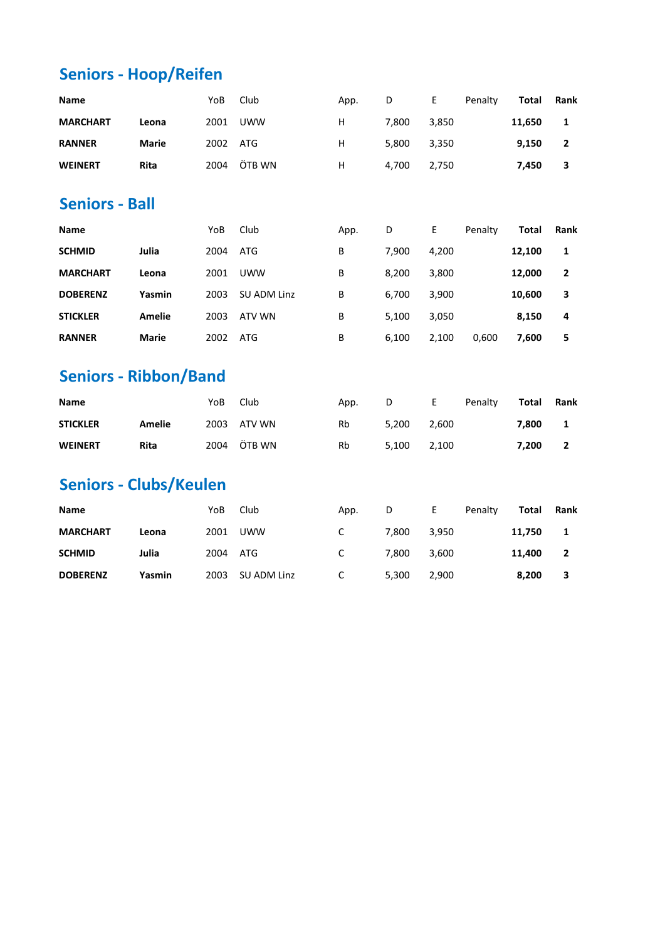# **Seniors - Hoop/Reifen**

| Name                          |               | YoB           | Club                        | App. | D     | Е     | Penalty           | <b>Total</b> | Rank           |
|-------------------------------|---------------|---------------|-----------------------------|------|-------|-------|-------------------|--------------|----------------|
| <b>MARCHART</b>               | Leona         | 2001          | <b>UWW</b>                  | н    | 7,800 | 3,850 |                   | 11,650       | $\mathbf{1}$   |
| <b>RANNER</b>                 | <b>Marie</b>  | 2002          | ATG                         | Н    | 5,800 | 3,350 |                   | 9,150        | $\overline{2}$ |
| <b>WEINERT</b>                | Rita          | 2004          | ÖTB WN                      | Н    | 4,700 | 2,750 |                   | 7,450        | 3              |
| <b>Seniors - Ball</b>         |               |               |                             |      |       |       |                   |              |                |
| Name                          |               | YoB           | Club                        | App. | D     | E     | Penalty           | <b>Total</b> | Rank           |
| <b>SCHMID</b>                 | Julia         | 2004          | <b>ATG</b>                  | B    | 7,900 | 4,200 |                   | 12,100       | $\mathbf 1$    |
| <b>MARCHART</b>               | Leona         | 2001          | <b>UWW</b>                  | B    | 8,200 | 3,800 |                   | 12,000       | $\mathbf{2}$   |
| <b>DOBERENZ</b>               | Yasmin        | 2003          | SU ADM Linz                 | B    | 6,700 | 3,900 |                   | 10,600       | 3              |
| <b>STICKLER</b>               | <b>Amelie</b> | 2003          | <b>ATV WN</b>               | В    | 5,100 | 3,050 |                   | 8,150        | 4              |
| <b>RANNER</b>                 | <b>Marie</b>  | 2002          | <b>ATG</b>                  | В    | 6,100 | 2,100 | 0,600             | 7,600        | 5              |
| <b>Seniors - Ribbon/Band</b>  |               |               |                             |      |       |       |                   |              |                |
| Name                          |               | YoB           | Club                        | App. | D     | E     | Penalty           | <b>Total</b> | Rank           |
| <b>STICKLER</b>               | <b>Amelie</b> | 2003          | <b>ATV WN</b>               | Rb   | 5,200 | 2,600 |                   | 7,800        | $\mathbf 1$    |
| <b>WEINERT</b>                | Rita          | 2004          | ÖTB WN                      | Rb   | 5,100 | 2,100 |                   | 7,200        | $\overline{2}$ |
| <b>Seniors - Clubs/Keulen</b> |               |               |                             |      |       |       |                   |              |                |
|                               |               | $\mathcal{U}$ | $\sim$ $\sim$ $\sim$ $\sim$ |      |       |       | $D = \frac{1}{2}$ | エスキュレー あっしょし |                |

| <b>Name</b>     |               | YoB  | Club        | App. | D     | E     | Penalty | Total  | Rank         |
|-----------------|---------------|------|-------------|------|-------|-------|---------|--------|--------------|
| <b>MARCHART</b> | Leona         | 2001 | <b>UWW</b>  | C    | 7.800 | 3.950 |         | 11.750 | $\mathbf{1}$ |
| <b>SCHMID</b>   | Julia         | 2004 | ATG         | C    | 7.800 | 3.600 |         | 11.400 |              |
| <b>DOBERENZ</b> | <b>Yasmin</b> | 2003 | SU ADM Linz |      | 5.300 | 2,900 |         | 8,200  | 3            |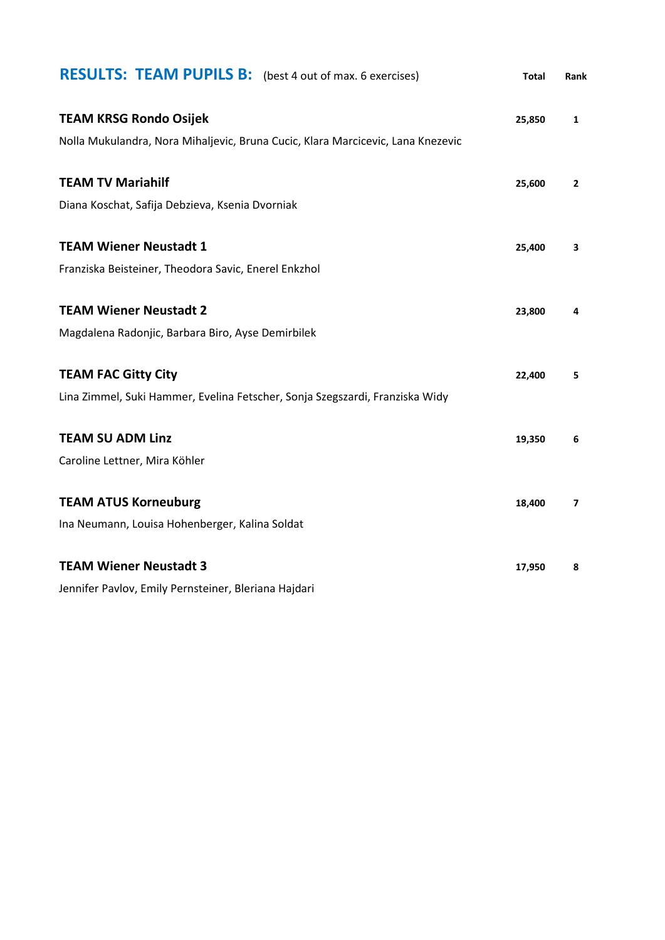| <b>RESULTS: TEAM PUPILS B:</b> (best 4 out of max. 6 exercises)                 | <b>Total</b> | Rank         |
|---------------------------------------------------------------------------------|--------------|--------------|
| <b>TEAM KRSG Rondo Osijek</b>                                                   | 25,850       | 1            |
| Nolla Mukulandra, Nora Mihaljevic, Bruna Cucic, Klara Marcicevic, Lana Knezevic |              |              |
| <b>TEAM TV Mariahilf</b>                                                        | 25,600       | $\mathbf{2}$ |
| Diana Koschat, Safija Debzieva, Ksenia Dvorniak                                 |              |              |
| <b>TEAM Wiener Neustadt 1</b>                                                   | 25,400       | 3            |
| Franziska Beisteiner, Theodora Savic, Enerel Enkzhol                            |              |              |
| <b>TEAM Wiener Neustadt 2</b>                                                   | 23,800       | 4            |
| Magdalena Radonjic, Barbara Biro, Ayse Demirbilek                               |              |              |
| <b>TEAM FAC Gitty City</b>                                                      | 22,400       | 5            |
| Lina Zimmel, Suki Hammer, Evelina Fetscher, Sonja Szegszardi, Franziska Widy    |              |              |
| <b>TEAM SU ADM Linz</b>                                                         | 19,350       | 6            |
| Caroline Lettner, Mira Köhler                                                   |              |              |
| <b>TEAM ATUS Korneuburg</b>                                                     | 18,400       | 7            |
| Ina Neumann, Louisa Hohenberger, Kalina Soldat                                  |              |              |
| <b>TEAM Wiener Neustadt 3</b>                                                   | 17,950       | 8            |
| Jennifer Pavlov, Emily Pernsteiner, Bleriana Hajdari                            |              |              |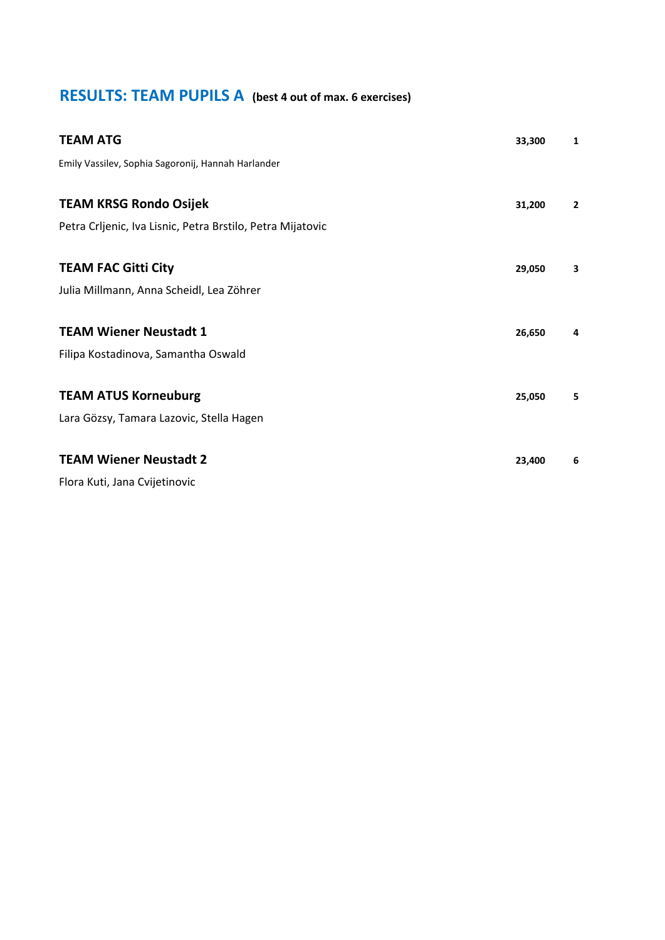### **RESULTS: TEAM PUPILS A (best 4 out of max. 6 exercises)**

| <b>TEAM ATG</b>                                            | 33,300 | 1            |
|------------------------------------------------------------|--------|--------------|
| Emily Vassilev, Sophia Sagoronij, Hannah Harlander         |        |              |
|                                                            |        |              |
| <b>TEAM KRSG Rondo Osijek</b>                              | 31,200 | $\mathbf{2}$ |
| Petra Crljenic, Iva Lisnic, Petra Brstilo, Petra Mijatovic |        |              |
|                                                            |        |              |
| <b>TEAM FAC Gitti City</b>                                 | 29,050 | 3            |
| Julia Millmann, Anna Scheidl, Lea Zöhrer                   |        |              |
|                                                            |        |              |
| <b>TEAM Wiener Neustadt 1</b>                              | 26,650 | 4            |
| Filipa Kostadinova, Samantha Oswald                        |        |              |
|                                                            |        |              |
| <b>TEAM ATUS Korneuburg</b>                                | 25,050 | 5            |
| Lara Gözsy, Tamara Lazovic, Stella Hagen                   |        |              |
|                                                            |        |              |
| <b>TEAM Wiener Neustadt 2</b>                              | 23,400 | 6            |
| Flora Kuti, Jana Cvijetinovic                              |        |              |